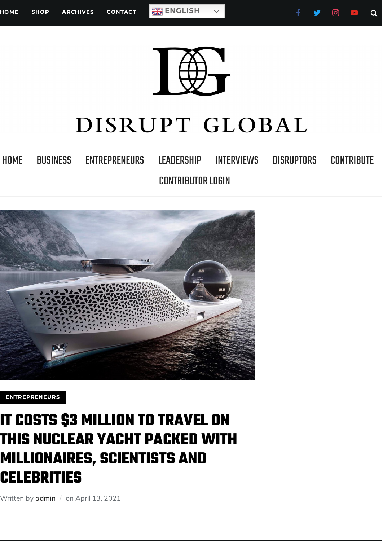# DISRUPT GLOBAL

[HOME](https://disruptglobal.io/) [BUSINESS](https://disruptglobal.io/category/business/) [ENTREPRENEURS](https://disruptglobal.io/category/entrepreneurs/) [LEADERSHIP](https://disruptglobal.io/category/leadership/) [INTERVIEWS](https://disruptglobal.io/category/interviews/) [DISRUPTORS](https://disruptglobal.io/category/disruptors/) [CONTRIBUTE](https://disruptglobal.io/contribute/) CONTRIBUTOR LOGIN



[ENTREPRENEURS](https://disruptglobal.io/category/entrepreneurs/)

## **IT COSTS \$3 MILLION TO TRAVEL ON THIS NUCLEAR YACHT PACKED WITH MILLIONAIRES, SCIENTISTS AND CELEBRITIES**

Written by [admin](https://disruptglobal.io/author/admin/) / on April 13, 2021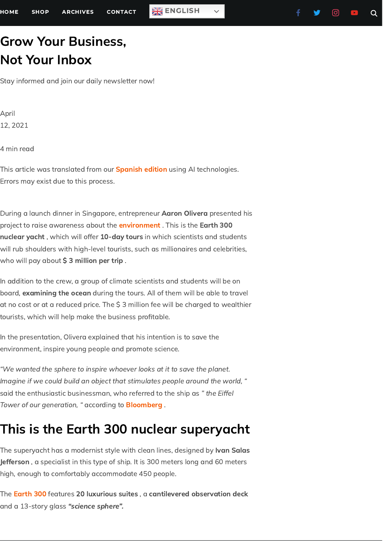### Grow Your Business, Not Your Inbox

Stay informed and join our daily newsletter now!

April 12, 2021

4 min read

This article was translated from our **[Spanish](https://www.entrepreneur.com/article/369216) edition** using AI technologies. Errors may exist due to this process.

During a launch dinner in Singapore, entrepreneur Aaron Olivera presented his project to raise awareness about the *[environment](https://www.entrepreneur.com/topic/medio-ambiente)* . This is the Earth 300 nuclear yacht, which will offer 10-day tours in which scientists and students will rub shoulders with high-level tourists, such as millionaires and celebrities, who will pay about  $\boldsymbol{\zeta}$  3 million per trip .

In addition to the crew, a group of climate scientists and students will be on board, examining the ocean during the tours. All of them will be able to travel at no cost or at a reduced price. The \$ 3 million fee will be charged to wealthier tourists, which will help make the business profitable.

In the presentation, Olivera explained that his intention is to save the environment, inspire young people and promote science.

"We wanted the sphere to inspire whoever looks at it to save the planet. Imagine if we could build an object that stimulates people around the world, " said the enthusiastic businessman, who referred to the ship as "the Eiffel Tower of our generation, " according to **[Bloomberg](https://www.bloomberg.com/news/articles/2021-04-10/atomic-superyacht-to-offer-3-million-eco-tours-with-scientists)**.

#### This is the Earth 300 nuclear superyacht

The superyacht has a modernist style with clean lines, designed by **Ivan Salas** Jefferson, a specialist in this type of ship. It is 300 meters long and 60 meters high, enough to comfortably accommodate 450 people.

The <mark>[Earth](https://earth300.com/) 300</mark> features **20 luxurious suites** , a **cantilevered observation deck** and a 13-story glass "science sphere".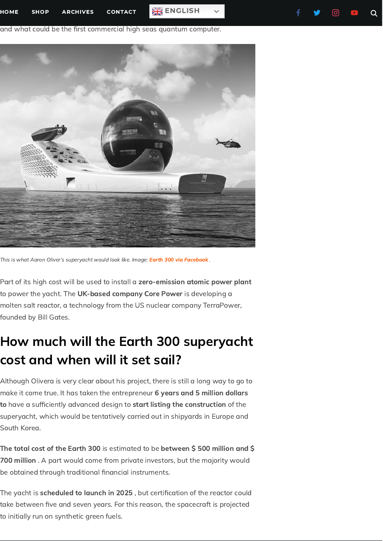

This is what Aaron Oliver's superyacht would look like. Image: Earth 300 via [Facebook](https://www.facebook.com/EARTH300/photos/a.120668136773606/120668113440275/) .

Part of its high cost will be used to install a zero-emission atomic power plant to power the yacht. The **UK-based company Core Power** is developing a molten salt reactor, a technology from the US nuclear company TerraPower, founded by Bill Gates.

### How much will the Earth 300 superyacht cost and when will it set sail?

Although Olivera is very clear about his project, there is still a long way to go to make it come true. It has taken the entrepreneur 6 years and 5 million dollars to have a sufficiently advanced design to start listing the construction of the superyacht, which would be tentatively carried out in shipyards in Europe and South Korea.

The total cost of the Earth 300 is estimated to be between \$ 500 million and \$ 700 million . A part would come from private investors, but the majority would be obtained through traditional financial instruments.

The yacht is scheduled to launch in 2025, but certification of the reactor could take between five and seven years. For this reason, the spacecraft is projected to initially run on synthetic green fuels.